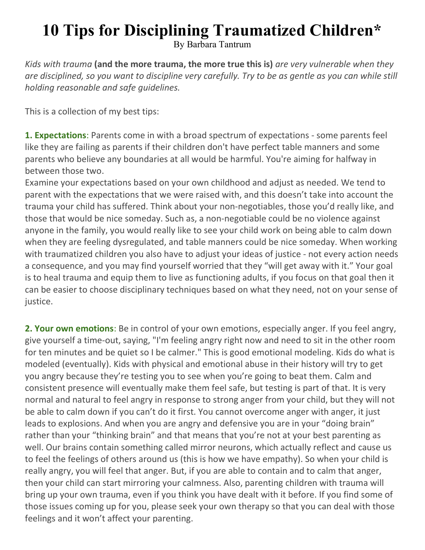## 10 Tips for Disciplining Traumatized Children\*

By Barbara Tantrum

Kids with trauma (and the more trauma, the more true this is) are very vulnerable when they are disciplined, so you want to discipline very carefully. Try to be as gentle as you can while still holding reasonable and safe guidelines.

This is a collection of my best tips:

1. Expectations: Parents come in with a broad spectrum of expectations - some parents feel like they are failing as parents if their children don't have perfect table manners and some parents who believe any boundaries at all would be harmful. You're aiming for halfway in between those two.

Examine your expectations based on your own childhood and adjust as needed. We tend to parent with the expectations that we were raised with, and this doesn't take into account the trauma your child has suffered. Think about your non-negotiables, those you'd really like, and those that would be nice someday. Such as, a non-negotiable could be no violence against anyone in the family, you would really like to see your child work on being able to calm down when they are feeling dysregulated, and table manners could be nice someday. When working with traumatized children you also have to adjust your ideas of justice - not every action needs a consequence, and you may find yourself worried that they "will get away with it." Your goal is to heal trauma and equip them to live as functioning adults, if you focus on that goal then it can be easier to choose disciplinary techniques based on what they need, not on your sense of justice.

2. Your own emotions: Be in control of your own emotions, especially anger. If you feel angry, give yourself a time-out, saying, "I'm feeling angry right now and need to sit in the other room for ten minutes and be quiet so I be calmer." This is good emotional modeling. Kids do what is modeled (eventually). Kids with physical and emotional abuse in their history will try to get you angry because they're testing you to see when you're going to beat them. Calm and consistent presence will eventually make them feel safe, but testing is part of that. It is very normal and natural to feel angry in response to strong anger from your child, but they will not be able to calm down if you can't do it first. You cannot overcome anger with anger, it just leads to explosions. And when you are angry and defensive you are in your "doing brain" rather than your "thinking brain" and that means that you're not at your best parenting as well. Our brains contain something called mirror neurons, which actually reflect and cause us to feel the feelings of others around us (this is how we have empathy). So when your child is really angry, you will feel that anger. But, if you are able to contain and to calm that anger, then your child can start mirroring your calmness. Also, parenting children with trauma will bring up your own trauma, even if you think you have dealt with it before. If you find some of those issues coming up for you, please seek your own therapy so that you can deal with those feelings and it won't affect your parenting.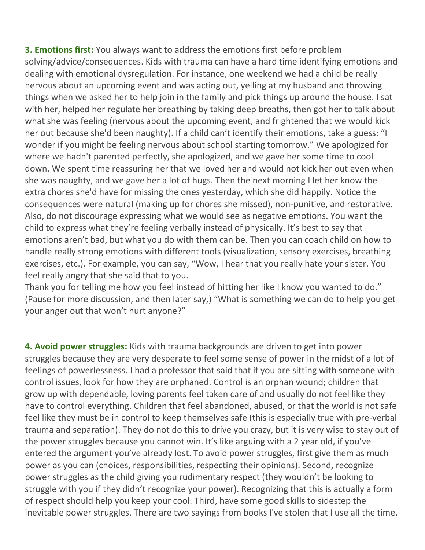**3. Emotions first:** You always want to address the emotions first before problem solving/advice/consequences. Kids with trauma can have a hard time identifying emotions and dealing with emotional dysregulation. For instance, one weekend we had a child be really nervous about an upcoming event and was acting out, yelling at my husband and throwing things when we asked her to help join in the family and pick things up around the house. I sat with her, helped her regulate her breathing by taking deep breaths, then got her to talk about what she was feeling (nervous about the upcoming event, and frightened that we would kick her out because she'd been naughty). If a child can't identify their emotions, take a guess: "I wonder if you might be feeling nervous about school starting tomorrow." We apologized for where we hadn't parented perfectly, she apologized, and we gave her some time to cool down. We spent time reassuring her that we loved her and would not kick her out even when she was naughty, and we gave her a lot of hugs. Then the next morning I let her know the extra chores she'd have for missing the ones yesterday, which she did happily. Notice the consequences were natural (making up for chores she missed), non-punitive, and restorative. Also, do not discourage expressing what we would see as negative emotions. You want the child to express what they're feeling verbally instead of physically. It's best to say that emotions aren't bad, but what you do with them can be. Then you can coach child on how to handle really strong emotions with different tools (visualization, sensory exercises, breathing exercises, etc.). For example, you can say, "Wow, I hear that you really hate your sister. You feel really angry that she said that to you.

Thank you for telling me how you feel instead of hitting her like I know you wanted to do." (Pause for more discussion, and then later say,) "What is something we can do to help you get your anger out that won't hurt anyone?"

4. Avoid power struggles: Kids with trauma backgrounds are driven to get into power struggles because they are very desperate to feel some sense of power in the midst of a lot of feelings of powerlessness. I had a professor that said that if you are sitting with someone with control issues, look for how they are orphaned. Control is an orphan wound; children that grow up with dependable, loving parents feel taken care of and usually do not feel like they have to control everything. Children that feel abandoned, abused, or that the world is not safe feel like they must be in control to keep themselves safe (this is especially true with pre-verbal trauma and separation). They do not do this to drive you crazy, but it is very wise to stay out of the power struggles because you cannot win. It's like arguing with a 2 year old, if you've entered the argument you've already lost. To avoid power struggles, first give them as much power as you can (choices, responsibilities, respecting their opinions). Second, recognize power struggles as the child giving you rudimentary respect (they wouldn't be looking to struggle with you if they didn't recognize your power). Recognizing that this is actually a form of respect should help you keep your cool. Third, have some good skills to sidestep the inevitable power struggles. There are two sayings from books I've stolen that I use all the time.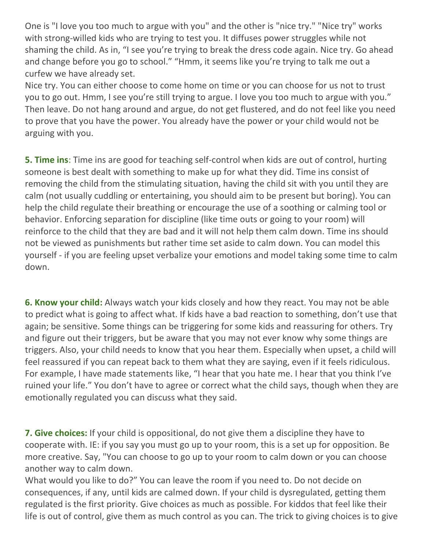One is "I love you too much to argue with you" and the other is "nice try." "Nice try" works with strong-willed kids who are trying to test you. It diffuses power struggles while not shaming the child. As in, "I see you're trying to break the dress code again. Nice try. Go ahead and change before you go to school." "Hmm, it seems like you're trying to talk me out a curfew we have already set.

Nice try. You can either choose to come home on time or you can choose for us not to trust you to go out. Hmm, I see you're still trying to argue. I love you too much to argue with you." Then leave. Do not hang around and argue, do not get flustered, and do not feel like you need to prove that you have the power. You already have the power or your child would not be arguing with you.

**5. Time ins**: Time ins are good for teaching self-control when kids are out of control, hurting someone is best dealt with something to make up for what they did. Time ins consist of removing the child from the stimulating situation, having the child sit with you until they are calm (not usually cuddling or entertaining, you should aim to be present but boring). You can help the child regulate their breathing or encourage the use of a soothing or calming tool or behavior. Enforcing separation for discipline (like time outs or going to your room) will reinforce to the child that they are bad and it will not help them calm down. Time ins should not be viewed as punishments but rather time set aside to calm down. You can model this yourself - if you are feeling upset verbalize your emotions and model taking some time to calm down.

**6. Know your child:** Always watch your kids closely and how they react. You may not be able to predict what is going to affect what. If kids have a bad reaction to something, don't use that again; be sensitive. Some things can be triggering for some kids and reassuring for others. Try and figure out their triggers, but be aware that you may not ever know why some things are triggers. Also, your child needs to know that you hear them. Especially when upset, a child will feel reassured if you can repeat back to them what they are saying, even if it feels ridiculous. For example, I have made statements like, "I hear that you hate me. I hear that you think I've ruined your life." You don't have to agree or correct what the child says, though when they are emotionally regulated you can discuss what they said.

**7. Give choices:** If your child is oppositional, do not give them a discipline they have to cooperate with. IE: if you say you must go up to your room, this is a set up for opposition. Be more creative. Say, "You can choose to go up to your room to calm down or you can choose another way to calm down.

What would you like to do?" You can leave the room if you need to. Do not decide on consequences, if any, until kids are calmed down. If your child is dysregulated, getting them regulated is the first priority. Give choices as much as possible. For kiddos that feel like their life is out of control, give them as much control as you can. The trick to giving choices is to give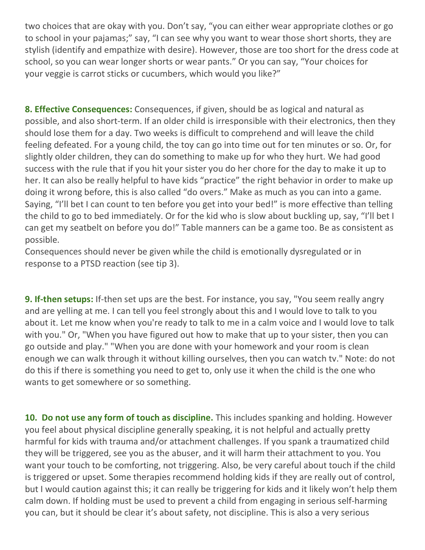two choices that are okay with you. Don't say, "you can either wear appropriate clothes or go to school in your pajamas;" say, "I can see why you want to wear those short shorts, they are stylish (identify and empathize with desire). However, those are too short for the dress code at school, so you can wear longer shorts or wear pants." Or you can say, "Your choices for your veggie is carrot sticks or cucumbers, which would you like?"

8. Effective Consequences: Consequences, if given, should be as logical and natural as possible, and also short-term. If an older child is irresponsible with their electronics, then they should lose them for a day. Two weeks is difficult to comprehend and will leave the child feeling defeated. For a young child, the toy can go into time out for ten minutes or so. Or, for slightly older children, they can do something to make up for who they hurt. We had good success with the rule that if you hit your sister you do her chore for the day to make it up to her. It can also be really helpful to have kids "practice" the right behavior in order to make up doing it wrong before, this is also called "do overs." Make as much as you can into a game. Saying, "I'll bet I can count to ten before you get into your bed!" is more effective than telling the child to go to bed immediately. Or for the kid who is slow about buckling up, say, "I'll bet I can get my seatbelt on before you do!" Table manners can be a game too. Be as consistent as possible.

Consequences should never be given while the child is emotionally dysregulated or in response to a PTSD reaction (see tip 3).

9. If-then setups: If-then set ups are the best. For instance, you say, "You seem really angry and are yelling at me. I can tell you feel strongly about this and I would love to talk to you about it. Let me know when you're ready to talk to me in a calm voice and I would love to talk with you." Or, "When you have figured out how to make that up to your sister, then you can go outside and play." "When you are done with your homework and your room is clean enough we can walk through it without killing ourselves, then you can watch tv." Note: do not do this if there is something you need to get to, only use it when the child is the one who wants to get somewhere or so something.

10. Do not use any form of touch as discipline. This includes spanking and holding. However you feel about physical discipline generally speaking, it is not helpful and actually pretty harmful for kids with trauma and/or attachment challenges. If you spank a traumatized child they will be triggered, see you as the abuser, and it will harm their attachment to you. You want your touch to be comforting, not triggering. Also, be very careful about touch if the child is triggered or upset. Some therapies recommend holding kids if they are really out of control, but I would caution against this; it can really be triggering for kids and it likely won't help them calm down. If holding must be used to prevent a child from engaging in serious self-harming you can, but it should be clear it's about safety, not discipline. This is also a very serious